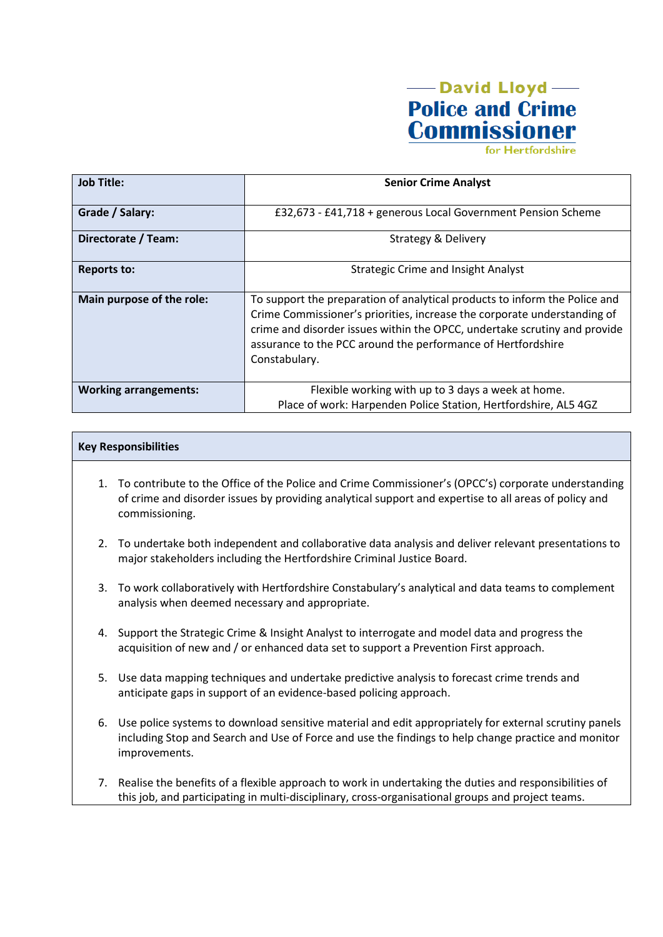

for Hertfordshire

| <b>Job Title:</b>            | <b>Senior Crime Analyst</b>                                                                                                                                                                                                                                                                                          |
|------------------------------|----------------------------------------------------------------------------------------------------------------------------------------------------------------------------------------------------------------------------------------------------------------------------------------------------------------------|
| Grade / Salary:              | £32,673 - £41,718 + generous Local Government Pension Scheme                                                                                                                                                                                                                                                         |
| Directorate / Team:          | <b>Strategy &amp; Delivery</b>                                                                                                                                                                                                                                                                                       |
| <b>Reports to:</b>           | <b>Strategic Crime and Insight Analyst</b>                                                                                                                                                                                                                                                                           |
| Main purpose of the role:    | To support the preparation of analytical products to inform the Police and<br>Crime Commissioner's priorities, increase the corporate understanding of<br>crime and disorder issues within the OPCC, undertake scrutiny and provide<br>assurance to the PCC around the performance of Hertfordshire<br>Constabulary. |
| <b>Working arrangements:</b> | Flexible working with up to 3 days a week at home.                                                                                                                                                                                                                                                                   |
|                              | Place of work: Harpenden Police Station, Hertfordshire, AL5 4GZ                                                                                                                                                                                                                                                      |

# **Key Responsibilities**

- 1. To contribute to the Office of the Police and Crime Commissioner's (OPCC's) corporate understanding of crime and disorder issues by providing analytical support and expertise to all areas of policy and commissioning.
- 2. To undertake both independent and collaborative data analysis and deliver relevant presentations to major stakeholders including the Hertfordshire Criminal Justice Board.
- 3. To work collaboratively with Hertfordshire Constabulary's analytical and data teams to complement analysis when deemed necessary and appropriate.
- 4. Support the Strategic Crime & Insight Analyst to interrogate and model data and progress the acquisition of new and / or enhanced data set to support a Prevention First approach.
- 5. Use data mapping techniques and undertake predictive analysis to forecast crime trends and anticipate gaps in support of an evidence-based policing approach.
- 6. Use police systems to download sensitive material and edit appropriately for external scrutiny panels including Stop and Search and Use of Force and use the findings to help change practice and monitor improvements.
- 7. Realise the benefits of a flexible approach to work in undertaking the duties and responsibilities of this job, and participating in multi-disciplinary, cross-organisational groups and project teams.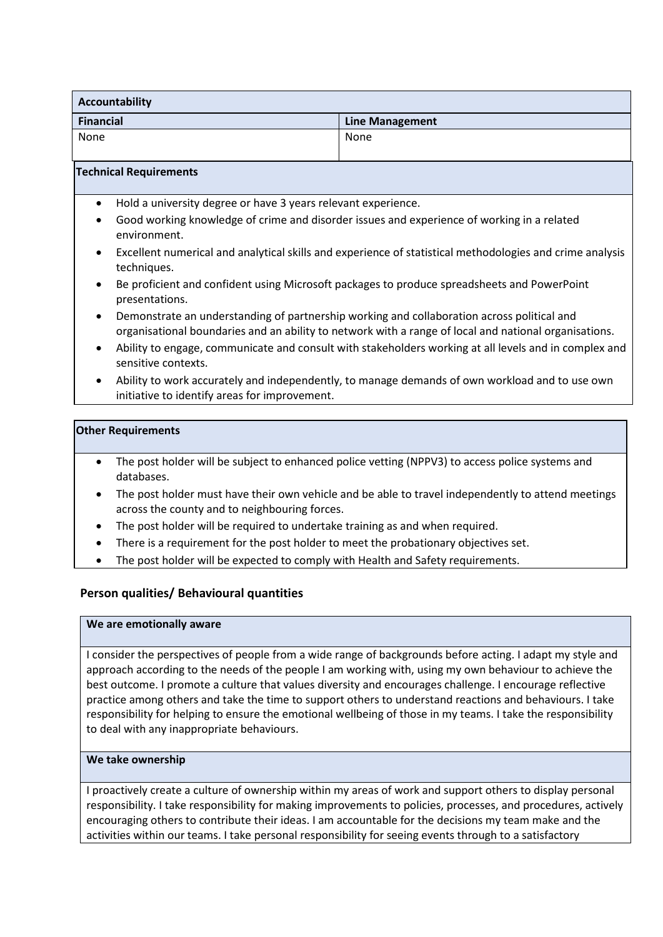| Accountability   |                        |  |
|------------------|------------------------|--|
| <b>Financial</b> | <b>Line Management</b> |  |
| None             | None                   |  |

#### **Technical Requirements**

- Hold a university degree or have 3 years relevant experience.
- Good working knowledge of crime and disorder issues and experience of working in a related environment.
- Excellent numerical and analytical skills and experience of statistical methodologies and crime analysis techniques.
- Be proficient and confident using Microsoft packages to produce spreadsheets and PowerPoint presentations.
- Demonstrate an understanding of partnership working and collaboration across political and organisational boundaries and an ability to network with a range of local and national organisations.
- Ability to engage, communicate and consult with stakeholders working at all levels and in complex and sensitive contexts.
- Ability to work accurately and independently, to manage demands of own workload and to use own initiative to identify areas for improvement.

#### **Other Requirements**

- The post holder will be subject to enhanced police vetting (NPPV3) to access police systems and databases.
- The post holder must have their own vehicle and be able to travel independently to attend meetings across the county and to neighbouring forces.
- The post holder will be required to undertake training as and when required.
- There is a requirement for the post holder to meet the probationary objectives set.
- The post holder will be expected to comply with Health and Safety requirements.

# **Person qualities/ Behavioural quantities**

#### **We are emotionally aware**

I consider the perspectives of people from a wide range of backgrounds before acting. I adapt my style and approach according to the needs of the people I am working with, using my own behaviour to achieve the best outcome. I promote a culture that values diversity and encourages challenge. I encourage reflective practice among others and take the time to support others to understand reactions and behaviours. I take responsibility for helping to ensure the emotional wellbeing of those in my teams. I take the responsibility to deal with any inappropriate behaviours.

# **We take ownership**

I proactively create a culture of ownership within my areas of work and support others to display personal responsibility. I take responsibility for making improvements to policies, processes, and procedures, actively encouraging others to contribute their ideas. I am accountable for the decisions my team make and the activities within our teams. I take personal responsibility for seeing events through to a satisfactory